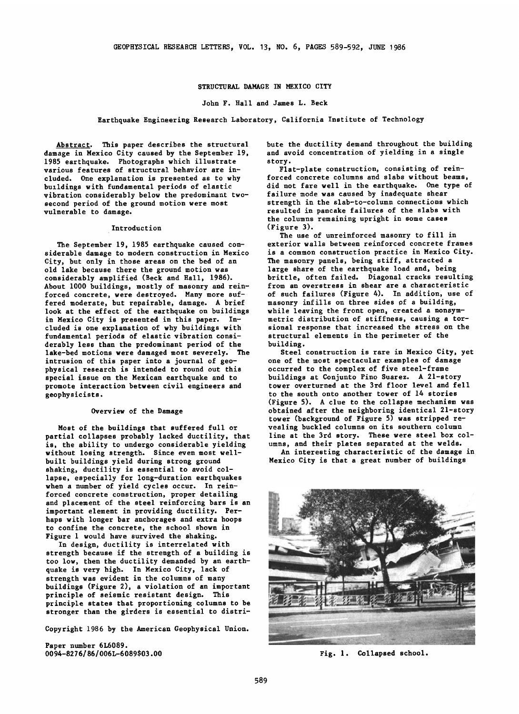# **STRUCTURAL DAMAGE IN MEXICO CITY**

### **John F. Hall and James L. Beck**

## **Earthquake Engineering Research Laboratory, California Institute of Technology**

**Abstract. This paper describes the structural damage in Mexico City caused by the September 19, 1985 earthquake. Photographs which illustrate various features of structural behavior are included. One explanation is presented as to why buildings with fundamental periods of elastic vibration considerably below the predominant twosecond period of the ground motion were most vulnerable to damage.** 

#### **Introduction**

**The September 19, 1985 earthquake caused considerable damage to modern construction in Mexico City, but only in those areas on the bed of an old lake because there the ground motion was considerably amplified (Beck and Hall, 1986). About 1000 buildings, mostly of masonry and reinforced concrete, were destroyed. Many more suffered moderate, but repairable, damage. A brief**  look at the effect of the earthquake on buildings **in Mexico City is presented in this paper. Included is one explanation of why buildings with fundamental periods of elastic vibration considerably less than the predominant period of the lake-bed motions were damaged most severely. The intrusion of this paper into a journal of geophysical research is intended to round out this special issue on the Mexican earthquake and to promote interaction between civil engineers and geophysicists.** 

### **Overview of the Damage**

**Most of the buildings that suffered full or partial collapses probably lacked ductility, that is, the ability to undergo considerable yielding without losing strength. Since even most wellbuilt buildings yield during strong ground shaking, ductility is essential to avoid collapse, especially for long-duration earthquakes when a number of yield cycles occur. In reinforced concrete construction, proper detailing and placement of the steel reinforcing bars is an important element in providing ductility. Perhaps with longer bar anchorages and extra hoops to confine the concrete, the school shown in Figure 1 would have survived the shaking.** 

**In design, ductility is interrelated with strength because if the strength of a building is too low, then the ductility demanded by an earthquake is very high. In Mexico City, lack of strength was evident in the columns of many buildings (Figure 2), a violation of an important principle of seismic resistant design. This principle states that proportioning columns to be stronger than the girders is essential to distri-**

**Copyright 1986 by the American Geophysical Union.** 

**Paper number 6L6089. 0094-827 6/86/006L-6 089503.00**  **bute the ductility demand throughout the building and avoid concentration of yielding in a single story.** 

**Flat-plate construction, consisting of reinforced concrete columns and slabs without beams, did not fare well in the earthquake. One type of failure mode was caused by inadequate shear strength in the slab-to-column connections which resulted in pancake failures of the slabs with the columns remaining upright in some cases (Figure 3).** 

**The use of unreinforced masonry to fill in exterior walls between reinforced concrete frames is a common construction practice in Mexico City. The masonry panels, being stiff, attracted a large share of the earthquake load and, being brittle, often failed. Diagonal cracks resulting from an overstress in shear are a characteristic of such failures (Figure 4). In addition, use of masonry infills on three sides of a building, while leaving the front open, created a nonsymmetric distribution of stiffness, causing a torsional response that increased the stress on the structural elements in the perimeter of the building.** 

**Steel construction is rare in Mexico City, yet one of the most spectacular examples of damage occurred to the complex of five steel-frame buildings at Conjunto Pino Suarez. A 21-story tower overturned at the 3rd floor level and fell to the south onto another tower of 14 stories (Figure 5). A clue to the collapse mechanism was obtained after the neighboring identical 21-story tower (background of Figure 5) was stripped revealing buckled columns on its southern column line at the 3rd story. These were steel box columns, and their plates separated at the welds.** 

**An interesting characteristic of the damage in Mexico City is that a great number of buildings** 



**Fig. 1. Collapsed school.**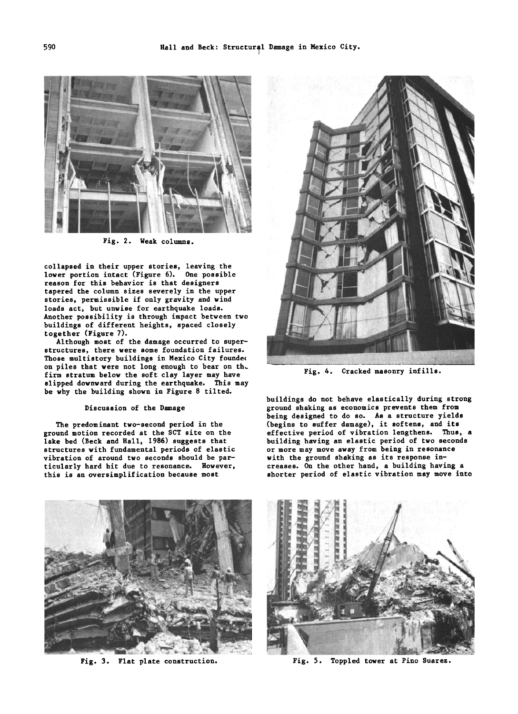

**Fig. 2. Weak columns.** 

**collapsed in their upper stories, leaving the lower portion intact (Figure 6). One possible reason for this behavior is that designers tapered the column sizes severely in the upper stories, permissible if only gravity and wind loads act, but unwise for earthquake loads. Another possibility is through impact between two buildings of different heights, spaced closely together (Figure 7).** 

**Although most of the damage occurred to superstructures, there were some foundation failures. Those multistory buildings in Mexico City founde½ on piles that were not long enough to bear on th• firm stratum below the soft clay layer may have slipped downward during the earthquake. This may be why the building shown in Figure 8 tilted.** 

#### **Discussion of the Damage**

**The predominant two-second period in the ground motion recorded at the SCT site on the lake bed (Beck and Hall, 1986) suggests that structures with fundamental periods of elastic vibration of around two seconds should be particularly hard hit due to resonance. However, this is an oversimplification because most** 



**Fig. 4. Cracked masonry infills.** 

**buildings do not behave elastically during strong ground shaking as economics prevents them from being designed to do so. As a structure yields (begins to suffer damage), it softens, and its effective period of vibration lengthens. Thus, a building having an elastic period of two seconds or more may move away from being in resonance with the ground shaking as its response increases. On the other hand, a building having a shorter period of elastic vibration may move into** 





Fig. 3. Flat plate construction. **Fig. 5. Toppled tower at Pino Suarez.**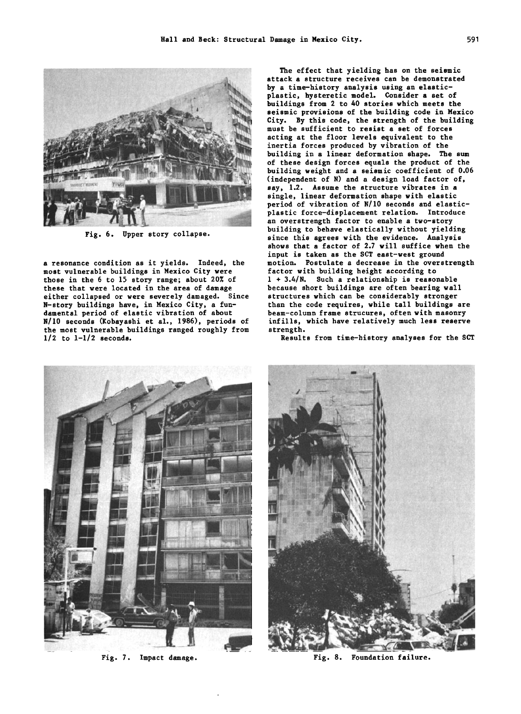

**a resonance condition as it yields. Indeed, the most vulnerable buildings in Mexico City were those in the 6 to 15 story range; about 20% of these that were located in the area of damage either collapsed or were severely damaged. Since N-story buildings have, in Mexico City, a fundamental period of elastic vibration of about N/10 seconds (Kobayashi et al., 1986), periods of the most vulnerable buildings ranged roughly from 1/2 to 1-1/2 seconds.** 

**The effect that yielding has on the seismic attack a structure receives can be demonstrated by a time-history analysis using an elasticplastic, hysteretic model. Consider a set of buildings from 2 to 40 stories which meets the seismic provisions of the building code in Mexico City. By this code, the strength of the building must be sufficient to resist a set of forces acting at the floor levels equivalent to the inertia forces produced by vibration of the building in a linear deformation shape. The sum of these design forces equals the product of the building weight and a seismic coefficient of 0.06 (independent of N) and a design load factor of, say, 1.2. Assume the structure vibrates in a single, linear deformation shape with elastic**  period of vibration of N/10 seconds and elastic-<br>plastic force-displacement relation. Introduce an overstrength factor to enable a two-story<br>building to behave elastically without yielding **building to behave elastically without yielding Fig. 6. Upper story collapse. since this agrees with the evidence. Analysis shows that a factor of 2.7 will suffice when the input is taken as the SCT east-west ground motion. Postulate a decrease in the overstrength factor with building height according to 1 + 3.4/N. Such a relationship is reasonable because short buildings are often bearing wall structures which can be considerably stronger than the code requires, while tall buildings are beam-column frame strucures, often with masonry infills, which have relatively much less reserve strength.** 



**Fig. 7. Impact damage.** 

**Results from time-history analyses for the SCT** 



**Fig. 8. Foundation failure.**